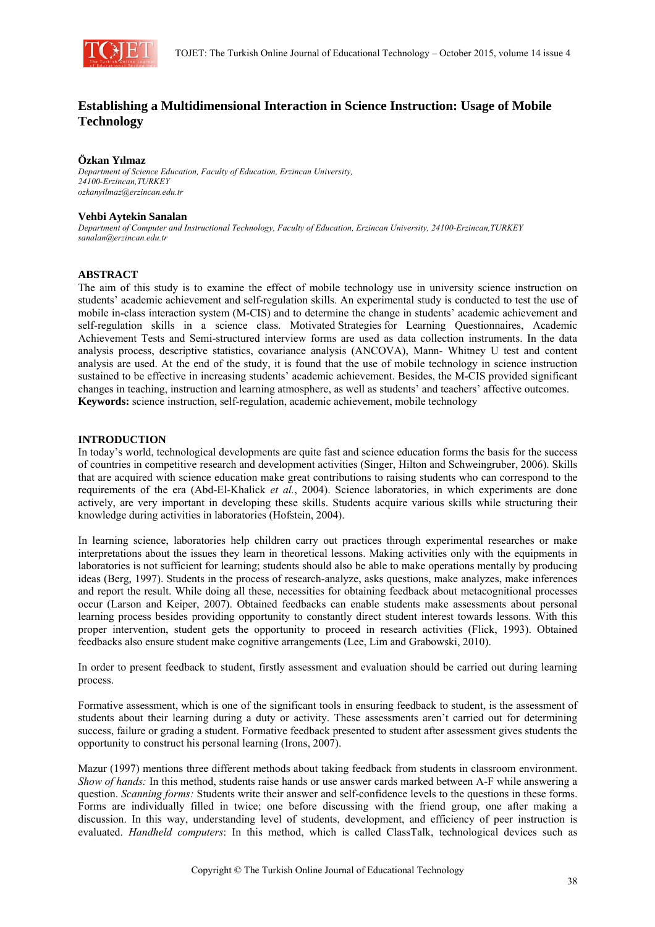

# **Establishing a Multidimensional Interaction in Science Instruction: Usage of Mobile Technology**

## **Özkan Yılmaz**

*Department of Science Education, Faculty of Education, Erzincan University, 24100-Erzincan,TURKEY ozkanyilmaz@erzincan.edu.tr* 

#### **Vehbi Aytekin Sanalan**

*Department of Computer and Instructional Technology, Faculty of Education, Erzincan University, 24100-Erzincan,TURKEY sanalan@erzincan.edu.tr* 

## **ABSTRACT**

The aim of this study is to examine the effect of mobile technology use in university science instruction on students' academic achievement and self-regulation skills. An experimental study is conducted to test the use of mobile in-class interaction system (M-CIS) and to determine the change in students' academic achievement and self-regulation skills in a science class. Motivated Strategies for Learning Questionnaires, Academic Achievement Tests and Semi-structured interview forms are used as data collection instruments. In the data analysis process, descriptive statistics, covariance analysis (ANCOVA), Mann- Whitney U test and content analysis are used. At the end of the study, it is found that the use of mobile technology in science instruction sustained to be effective in increasing students' academic achievement. Besides, the M-CIS provided significant changes in teaching, instruction and learning atmosphere, as well as students' and teachers' affective outcomes. **Keywords:** science instruction, self-regulation, academic achievement, mobile technology

## **INTRODUCTION**

In today's world, technological developments are quite fast and science education forms the basis for the success of countries in competitive research and development activities (Singer, Hilton and Schweingruber, 2006). Skills that are acquired with science education make great contributions to raising students who can correspond to the requirements of the era (Abd-El-Khalick *et al.*, 2004). Science laboratories, in which experiments are done actively, are very important in developing these skills. Students acquire various skills while structuring their knowledge during activities in laboratories (Hofstein, 2004).

In learning science, laboratories help children carry out practices through experimental researches or make interpretations about the issues they learn in theoretical lessons. Making activities only with the equipments in laboratories is not sufficient for learning; students should also be able to make operations mentally by producing ideas (Berg, 1997). Students in the process of research-analyze, asks questions, make analyzes, make inferences and report the result. While doing all these, necessities for obtaining feedback about metacognitional processes occur (Larson and Keiper, 2007). Obtained feedbacks can enable students make assessments about personal learning process besides providing opportunity to constantly direct student interest towards lessons. With this proper intervention, student gets the opportunity to proceed in research activities (Flick, 1993). Obtained feedbacks also ensure student make cognitive arrangements (Lee, Lim and Grabowski, 2010).

In order to present feedback to student, firstly assessment and evaluation should be carried out during learning process.

Formative assessment, which is one of the significant tools in ensuring feedback to student, is the assessment of students about their learning during a duty or activity. These assessments aren't carried out for determining success, failure or grading a student. Formative feedback presented to student after assessment gives students the opportunity to construct his personal learning (Irons, 2007).

Mazur (1997) mentions three different methods about taking feedback from students in classroom environment. *Show of hands:* In this method, students raise hands or use answer cards marked between A-F while answering a question. *Scanning forms:* Students write their answer and self-confidence levels to the questions in these forms. Forms are individually filled in twice; one before discussing with the friend group, one after making a discussion. In this way, understanding level of students, development, and efficiency of peer instruction is evaluated. *Handheld computers*: In this method, which is called ClassTalk, technological devices such as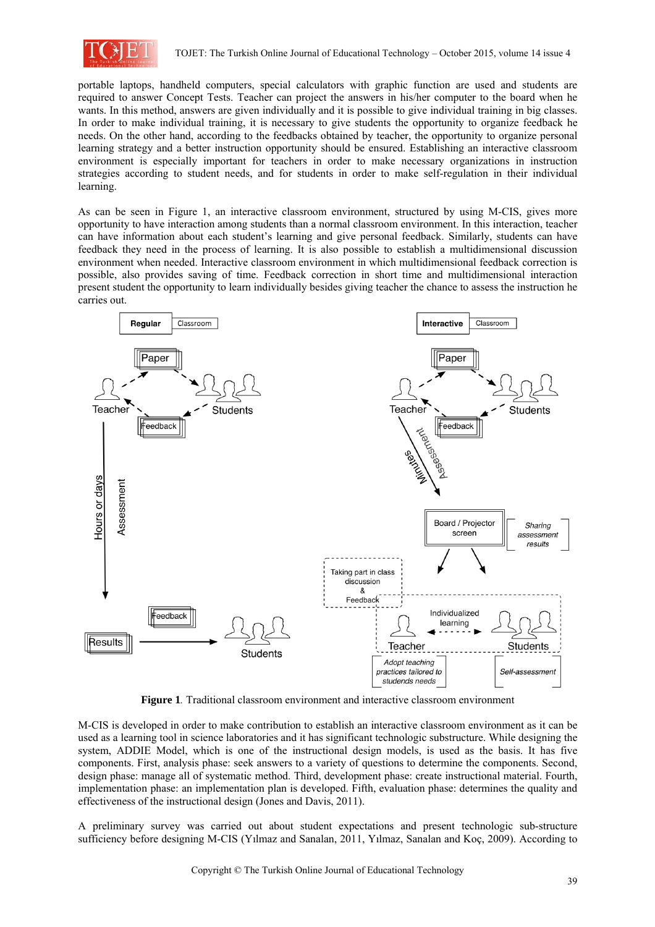

portable laptops, handheld computers, special calculators with graphic function are used and students are required to answer Concept Tests. Teacher can project the answers in his/her computer to the board when he wants. In this method, answers are given individually and it is possible to give individual training in big classes. In order to make individual training, it is necessary to give students the opportunity to organize feedback he needs. On the other hand, according to the feedbacks obtained by teacher, the opportunity to organize personal learning strategy and a better instruction opportunity should be ensured. Establishing an interactive classroom environment is especially important for teachers in order to make necessary organizations in instruction strategies according to student needs, and for students in order to make self-regulation in their individual learning.

As can be seen in Figure 1, an interactive classroom environment, structured by using M-CIS, gives more opportunity to have interaction among students than a normal classroom environment. In this interaction, teacher can have information about each student's learning and give personal feedback. Similarly, students can have feedback they need in the process of learning. It is also possible to establish a multidimensional discussion environment when needed. Interactive classroom environment in which multidimensional feedback correction is possible, also provides saving of time. Feedback correction in short time and multidimensional interaction present student the opportunity to learn individually besides giving teacher the chance to assess the instruction he carries out.



**Figure 1***.* Traditional classroom environment and interactive classroom environment

M-CIS is developed in order to make contribution to establish an interactive classroom environment as it can be used as a learning tool in science laboratories and it has significant technologic substructure. While designing the system, ADDIE Model, which is one of the instructional design models, is used as the basis. It has five components. First, analysis phase: seek answers to a variety of questions to determine the components. Second, design phase: manage all of systematic method. Third, development phase: create instructional material. Fourth, implementation phase: an implementation plan is developed. Fifth, evaluation phase: determines the quality and effectiveness of the instructional design (Jones and Davis, 2011).

A preliminary survey was carried out about student expectations and present technologic sub-structure sufficiency before designing M-CIS (Yılmaz and Sanalan, 2011, Yılmaz, Sanalan and Koç, 2009). According to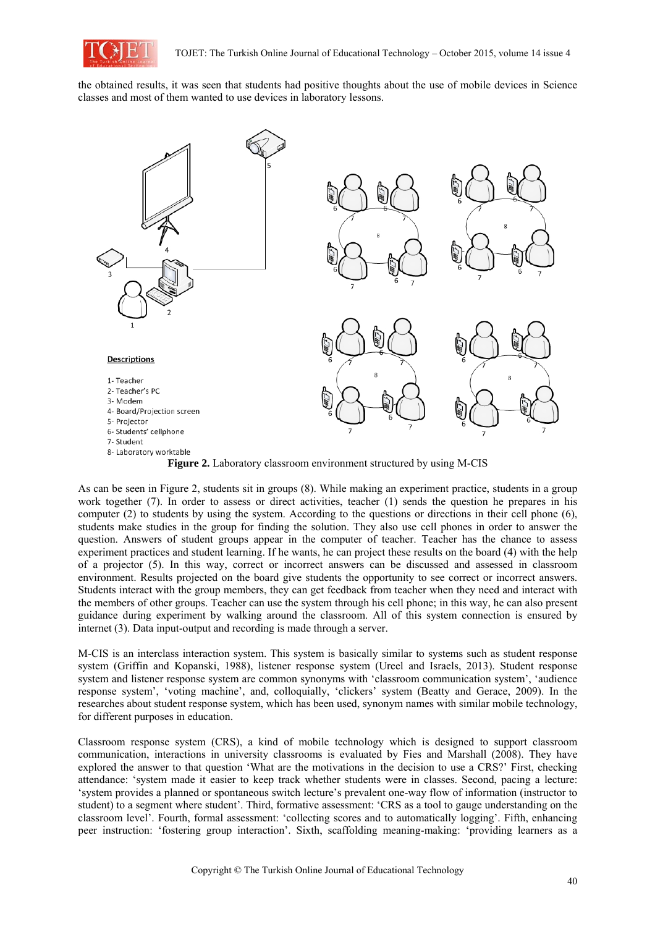

the obtained results, it was seen that students had positive thoughts about the use of mobile devices in Science classes and most of them wanted to use devices in laboratory lessons.



As can be seen in Figure 2, students sit in groups (8). While making an experiment practice, students in a group work together (7). In order to assess or direct activities, teacher (1) sends the question he prepares in his computer (2) to students by using the system. According to the questions or directions in their cell phone (6), students make studies in the group for finding the solution. They also use cell phones in order to answer the question. Answers of student groups appear in the computer of teacher. Teacher has the chance to assess experiment practices and student learning. If he wants, he can project these results on the board (4) with the help of a projector (5). In this way, correct or incorrect answers can be discussed and assessed in classroom environment. Results projected on the board give students the opportunity to see correct or incorrect answers. Students interact with the group members, they can get feedback from teacher when they need and interact with the members of other groups. Teacher can use the system through his cell phone; in this way, he can also present guidance during experiment by walking around the classroom. All of this system connection is ensured by internet (3). Data input-output and recording is made through a server.

M-CIS is an interclass interaction system. This system is basically similar to systems such as student response system (Griffin and Kopanski, 1988), listener response system (Ureel and Israels, 2013). Student response system and listener response system are common synonyms with 'classroom communication system', 'audience response system', 'voting machine', and, colloquially, 'clickers' system (Beatty and Gerace, 2009). In the researches about student response system, which has been used, synonym names with similar mobile technology, for different purposes in education.

Classroom response system (CRS), a kind of mobile technology which is designed to support classroom communication, interactions in university classrooms is evaluated by Fies and Marshall (2008). They have explored the answer to that question 'What are the motivations in the decision to use a CRS?' First, checking attendance: 'system made it easier to keep track whether students were in classes. Second, pacing a lecture: 'system provides a planned or spontaneous switch lecture's prevalent one-way flow of information (instructor to student) to a segment where student'. Third, formative assessment: 'CRS as a tool to gauge understanding on the classroom level'. Fourth, formal assessment: 'collecting scores and to automatically logging'. Fifth, enhancing peer instruction: 'fostering group interaction'. Sixth, scaffolding meaning-making: 'providing learners as a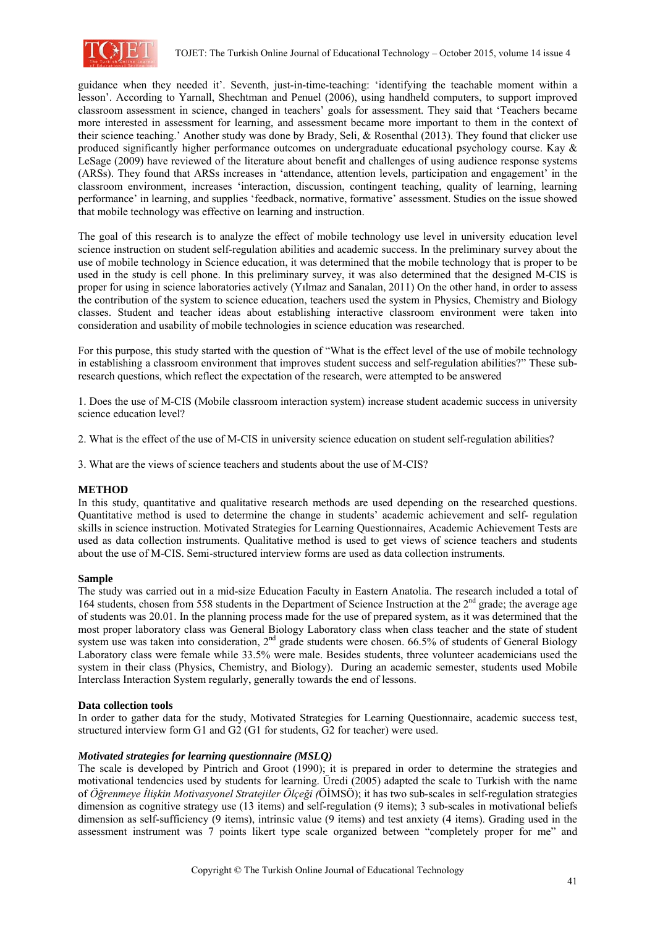

guidance when they needed it'. Seventh, just-in-time-teaching: 'identifying the teachable moment within a lesson'. According to Yarnall, Shechtman and Penuel (2006), using handheld computers, to support improved classroom assessment in science, changed in teachers' goals for assessment. They said that 'Teachers became more interested in assessment for learning, and assessment became more important to them in the context of their science teaching.' Another study was done by Brady, Seli, & Rosenthal (2013). They found that clicker use produced significantly higher performance outcomes on undergraduate educational psychology course. Kay & LeSage (2009) have reviewed of the literature about benefit and challenges of using audience response systems (ARSs). They found that ARSs increases in 'attendance, attention levels, participation and engagement' in the classroom environment, increases 'interaction, discussion, contingent teaching, quality of learning, learning performance' in learning, and supplies 'feedback, normative, formative' assessment. Studies on the issue showed that mobile technology was effective on learning and instruction.

The goal of this research is to analyze the effect of mobile technology use level in university education level science instruction on student self-regulation abilities and academic success. In the preliminary survey about the use of mobile technology in Science education, it was determined that the mobile technology that is proper to be used in the study is cell phone. In this preliminary survey, it was also determined that the designed M-CIS is proper for using in science laboratories actively (Yılmaz and Sanalan, 2011) On the other hand, in order to assess the contribution of the system to science education, teachers used the system in Physics, Chemistry and Biology classes. Student and teacher ideas about establishing interactive classroom environment were taken into consideration and usability of mobile technologies in science education was researched.

For this purpose, this study started with the question of "What is the effect level of the use of mobile technology in establishing a classroom environment that improves student success and self-regulation abilities?" These subresearch questions, which reflect the expectation of the research, were attempted to be answered

1. Does the use of M-CIS (Mobile classroom interaction system) increase student academic success in university science education level?

2. What is the effect of the use of M-CIS in university science education on student self-regulation abilities?

3. What are the views of science teachers and students about the use of M-CIS?

# **METHOD**

In this study, quantitative and qualitative research methods are used depending on the researched questions. Quantitative method is used to determine the change in students' academic achievement and self- regulation skills in science instruction. Motivated Strategies for Learning Questionnaires, Academic Achievement Tests are used as data collection instruments. Qualitative method is used to get views of science teachers and students about the use of M-CIS. Semi-structured interview forms are used as data collection instruments.

## **Sample**

The study was carried out in a mid-size Education Faculty in Eastern Anatolia. The research included a total of 164 students, chosen from 558 students in the Department of Science Instruction at the 2<sup>nd</sup> grade; the average age of students was 20.01. In the planning process made for the use of prepared system, as it was determined that the most proper laboratory class was General Biology Laboratory class when class teacher and the state of student system use was taken into consideration,  $2<sup>nd</sup>$  grade students were chosen. 66.5% of students of General Biology Laboratory class were female while 33.5% were male. Besides students, three volunteer academicians used the system in their class (Physics, Chemistry, and Biology). During an academic semester, students used Mobile Interclass Interaction System regularly, generally towards the end of lessons.

#### **Data collection tools**

In order to gather data for the study, Motivated Strategies for Learning Questionnaire, academic success test, structured interview form G1 and G2 (G1 for students, G2 for teacher) were used.

# *Motivated strategies for learning questionnaire (MSLQ)*

The scale is developed by Pintrich and Groot (1990); it is prepared in order to determine the strategies and motivational tendencies used by students for learning. Üredi (2005) adapted the scale to Turkish with the name of *Öğrenmeye İlişkin Motivasyonel Stratejiler Ölçeği (*ÖİMSÖ); it has two sub-scales in self-regulation strategies dimension as cognitive strategy use (13 items) and self-regulation (9 items); 3 sub-scales in motivational beliefs dimension as self-sufficiency (9 items), intrinsic value (9 items) and test anxiety (4 items). Grading used in the assessment instrument was 7 points likert type scale organized between "completely proper for me" and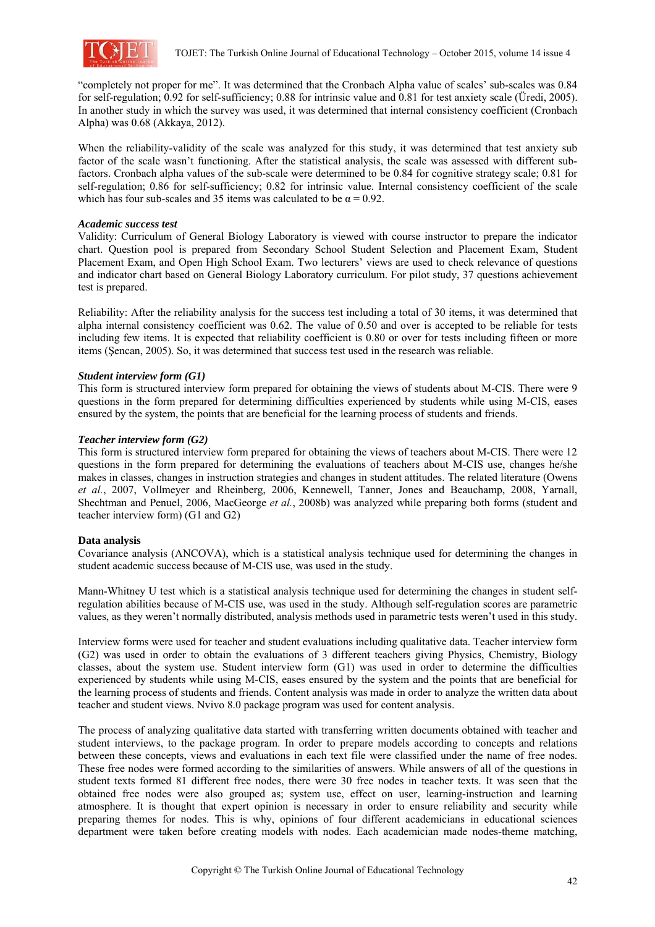

"completely not proper for me". It was determined that the Cronbach Alpha value of scales' sub-scales was 0.84 for self-regulation; 0.92 for self-sufficiency; 0.88 for intrinsic value and 0.81 for test anxiety scale (Üredi, 2005). In another study in which the survey was used, it was determined that internal consistency coefficient (Cronbach Alpha) was 0.68 (Akkaya, 2012).

When the reliability-validity of the scale was analyzed for this study, it was determined that test anxiety sub factor of the scale wasn't functioning. After the statistical analysis, the scale was assessed with different subfactors. Cronbach alpha values of the sub-scale were determined to be 0.84 for cognitive strategy scale; 0.81 for self-regulation; 0.86 for self-sufficiency; 0.82 for intrinsic value. Internal consistency coefficient of the scale which has four sub-scales and 35 items was calculated to be  $\alpha = 0.92$ .

## *Academic success test*

Validity: Curriculum of General Biology Laboratory is viewed with course instructor to prepare the indicator chart. Question pool is prepared from Secondary School Student Selection and Placement Exam, Student Placement Exam, and Open High School Exam. Two lecturers' views are used to check relevance of questions and indicator chart based on General Biology Laboratory curriculum. For pilot study, 37 questions achievement test is prepared.

Reliability: After the reliability analysis for the success test including a total of 30 items, it was determined that alpha internal consistency coefficient was 0.62. The value of 0.50 and over is accepted to be reliable for tests including few items. It is expected that reliability coefficient is 0.80 or over for tests including fifteen or more items (Şencan, 2005). So, it was determined that success test used in the research was reliable.

# *Student interview form (G1)*

This form is structured interview form prepared for obtaining the views of students about M-CIS. There were 9 questions in the form prepared for determining difficulties experienced by students while using M-CIS, eases ensured by the system, the points that are beneficial for the learning process of students and friends.

## *Teacher interview form (G2)*

This form is structured interview form prepared for obtaining the views of teachers about M-CIS. There were 12 questions in the form prepared for determining the evaluations of teachers about M-CIS use, changes he/she makes in classes, changes in instruction strategies and changes in student attitudes. The related literature (Owens *et al.*, 2007, Vollmeyer and Rheinberg, 2006, Kennewell, Tanner, Jones and Beauchamp, 2008, Yarnall, Shechtman and Penuel, 2006, MacGeorge *et al.*, 2008b) was analyzed while preparing both forms (student and teacher interview form) (G1 and G2)

# **Data analysis**

Covariance analysis (ANCOVA), which is a statistical analysis technique used for determining the changes in student academic success because of M-CIS use, was used in the study.

Mann-Whitney U test which is a statistical analysis technique used for determining the changes in student selfregulation abilities because of M-CIS use, was used in the study. Although self-regulation scores are parametric values, as they weren't normally distributed, analysis methods used in parametric tests weren't used in this study.

Interview forms were used for teacher and student evaluations including qualitative data. Teacher interview form (G2) was used in order to obtain the evaluations of 3 different teachers giving Physics, Chemistry, Biology classes, about the system use. Student interview form (G1) was used in order to determine the difficulties experienced by students while using M-CIS, eases ensured by the system and the points that are beneficial for the learning process of students and friends. Content analysis was made in order to analyze the written data about teacher and student views. Nvivo 8.0 package program was used for content analysis.

The process of analyzing qualitative data started with transferring written documents obtained with teacher and student interviews, to the package program. In order to prepare models according to concepts and relations between these concepts, views and evaluations in each text file were classified under the name of free nodes. These free nodes were formed according to the similarities of answers. While answers of all of the questions in student texts formed 81 different free nodes, there were 30 free nodes in teacher texts. It was seen that the obtained free nodes were also grouped as; system use, effect on user, learning-instruction and learning atmosphere. It is thought that expert opinion is necessary in order to ensure reliability and security while preparing themes for nodes. This is why, opinions of four different academicians in educational sciences department were taken before creating models with nodes. Each academician made nodes-theme matching,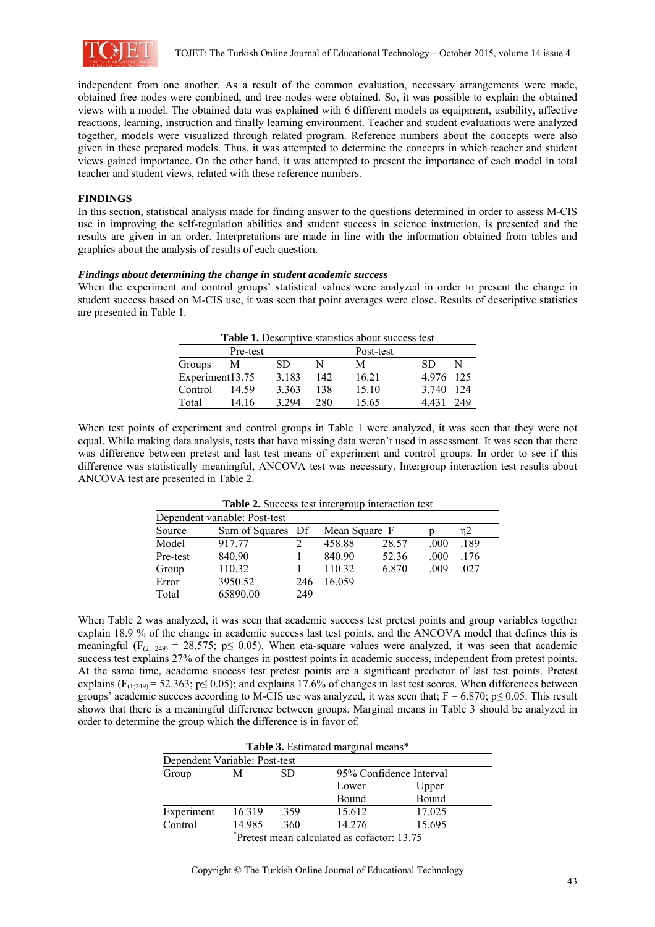

independent from one another. As a result of the common evaluation, necessary arrangements were made, obtained free nodes were combined, and tree nodes were obtained. So, it was possible to explain the obtained views with a model. The obtained data was explained with 6 different models as equipment, usability, affective reactions, learning, instruction and finally learning environment. Teacher and student evaluations were analyzed together, models were visualized through related program. Reference numbers about the concepts were also given in these prepared models. Thus, it was attempted to determine the concepts in which teacher and student views gained importance. On the other hand, it was attempted to present the importance of each model in total teacher and student views, related with these reference numbers.

## **FINDINGS**

In this section, statistical analysis made for finding answer to the questions determined in order to assess M-CIS use in improving the self-regulation abilities and student success in science instruction, is presented and the results are given in an order. Interpretations are made in line with the information obtained from tables and graphics about the analysis of results of each question.

## *Findings about determining the change in student academic success*

When the experiment and control groups' statistical values were analyzed in order to present the change in student success based on M-CIS use, it was seen that point averages were close. Results of descriptive statistics are presented in Table 1.

|                 |          |         |     | Table 1. Descriptive statistics about success test |       |      |
|-----------------|----------|---------|-----|----------------------------------------------------|-------|------|
|                 | Pre-test |         |     | Post-test                                          |       |      |
| Groups          | M        | SD      |     | М                                                  | SD.   | N    |
| Experiment13.75 |          | 3.183   | 142 | 16.21                                              | 4976  | -125 |
| Control         | 14.59    | 3.363   | 138 | 15.10                                              | 3.740 | 124  |
| Total           | 14.16    | 3 2 9 4 | 280 | 15.65                                              | 4431  | 249  |

When test points of experiment and control groups in Table 1 were analyzed, it was seen that they were not equal. While making data analysis, tests that have missing data weren't used in assessment. It was seen that there was difference between pretest and last test means of experiment and control groups. In order to see if this difference was statistically meaningful, ANCOVA test was necessary. Intergroup interaction test results about ANCOVA test are presented in Table 2.

|          | Dependent variable: Post-test |     |               |       |      |      |  |
|----------|-------------------------------|-----|---------------|-------|------|------|--|
| Source   | Sum of Squares Df             |     | Mean Square F |       |      | n2   |  |
| Model    | 917.77                        |     | 458.88        | 28.57 | .000 | .189 |  |
| Pre-test | 840.90                        |     | 840.90        | 52.36 | .000 | .176 |  |
| Group    | 110.32                        |     | 110.32        | 6.870 | .009 | .027 |  |
| Error    | 3950.52                       | 246 | 16.059        |       |      |      |  |
| Total    | 65890.00                      | 249 |               |       |      |      |  |

**Table 2.** Success test intergroup interaction test

When Table 2 was analyzed, it was seen that academic success test pretest points and group variables together explain 18.9 % of the change in academic success last test points, and the ANCOVA model that defines this is meaningful (F<sub>(2; 249)</sub> = 28.575; p $\leq$  0.05). When eta-square values were analyzed, it was seen that academic success test explains 27% of the changes in posttest points in academic success, independent from pretest points. At the same time, academic success test pretest points are a significant predictor of last test points. Pretest explains ( $F_{(1:249)}$  = 52.363; p $\leq$  0.05); and explains 17.6% of changes in last test scores. When differences between groups' academic success according to M-CIS use was analyzed, it was seen that;  $F = 6.870$ ;  $p \le 0.05$ . This result shows that there is a meaningful difference between groups. Marginal means in Table 3 should be analyzed in order to determine the group which the difference is in favor of.

|                               |        |      | Table 3. Estimated marginal means*         |                         |  |
|-------------------------------|--------|------|--------------------------------------------|-------------------------|--|
| Dependent Variable: Post-test |        |      |                                            |                         |  |
| Group                         | М      | SD   |                                            | 95% Confidence Interval |  |
|                               |        |      | Lower                                      | Upper                   |  |
|                               |        |      | Bound                                      | Bound                   |  |
| Experiment                    | 16.319 | .359 | 15.612                                     | 17.025                  |  |
| Control                       | 14.985 | .360 | 14.276                                     | 15.695                  |  |
|                               |        |      | Pretest mean calculated as cofactor: 13.75 |                         |  |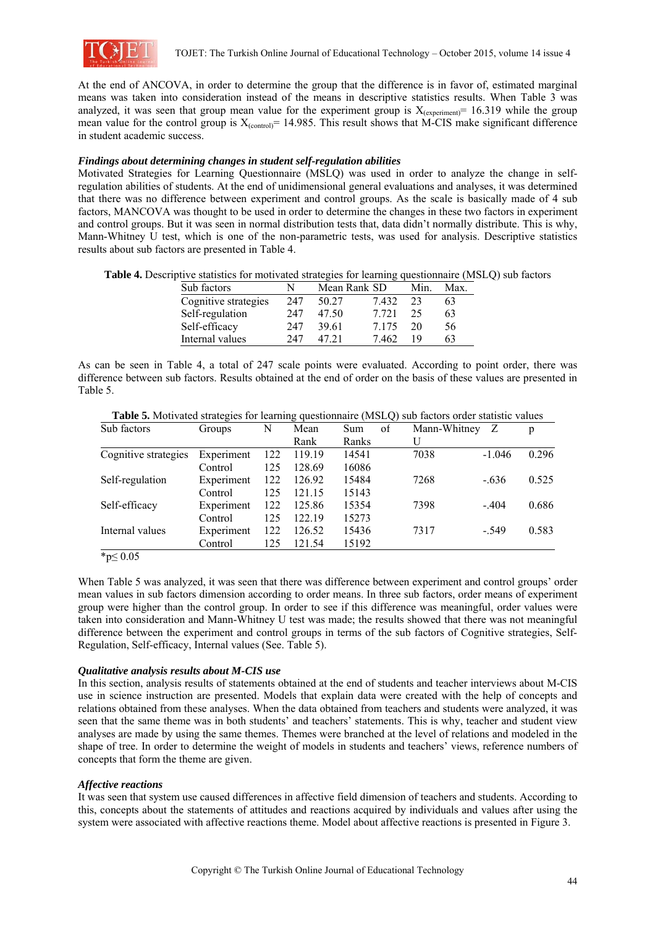

At the end of ANCOVA, in order to determine the group that the difference is in favor of, estimated marginal means was taken into consideration instead of the means in descriptive statistics results. When Table 3 was analyzed, it was seen that group mean value for the experiment group is  $X_{(experiment)} = 16.319$  while the group mean value for the control group is  $X_{(control)} = 14.985$ . This result shows that M-CIS make significant difference in student academic success.

## *Findings about determining changes in student self-regulation abilities*

Motivated Strategies for Learning Questionnaire (MSLQ) was used in order to analyze the change in selfregulation abilities of students. At the end of unidimensional general evaluations and analyses, it was determined that there was no difference between experiment and control groups. As the scale is basically made of 4 sub factors, MANCOVA was thought to be used in order to determine the changes in these two factors in experiment and control groups. But it was seen in normal distribution tests that, data didn't normally distribute. This is why, Mann-Whitney U test, which is one of the non-parametric tests, was used for analysis. Descriptive statistics results about sub factors are presented in Table 4.

| Table 4. Descriptive statistics for motivated strategies for learning questionnaire (MSLQ) sub factors |  |  |  |  |  |  |
|--------------------------------------------------------------------------------------------------------|--|--|--|--|--|--|
|--------------------------------------------------------------------------------------------------------|--|--|--|--|--|--|

| Sub factors          | N   | Mean Rank SD |         | Min. | Max. |
|----------------------|-----|--------------|---------|------|------|
| Cognitive strategies | 247 | 50.27        | 7.432   | 23   | 63   |
| Self-regulation      | 247 | 47.50        | 7 7 2 1 | 25   | 63   |
| Self-efficacy        | 247 | 39.61        | 7 1 7 5 | 20   | 56   |
| Internal values      | 247 | 47 21        | 7462    | 19   | 63   |

As can be seen in Table 4, a total of 247 scale points were evaluated. According to point order, there was difference between sub factors. Results obtained at the end of order on the basis of these values are presented in Table 5.

| Table 5. Motivated strategies for learning questionnaire (MSLQ) sub factors order statistic values |  |  |
|----------------------------------------------------------------------------------------------------|--|--|
|                                                                                                    |  |  |

| Sub factors          | Groups     | N   | Mean   | Sum<br>of | Mann-Whitney | Z        | p     |
|----------------------|------------|-----|--------|-----------|--------------|----------|-------|
|                      |            |     | Rank   | Ranks     | U            |          |       |
| Cognitive strategies | Experiment | 122 | 119.19 | 14541     | 7038         | $-1.046$ | 0.296 |
|                      | Control    | 125 | 128.69 | 16086     |              |          |       |
| Self-regulation      | Experiment | 122 | 126.92 | 15484     | 7268         | $-.636$  | 0.525 |
|                      | Control    | 125 | 121.15 | 15143     |              |          |       |
| Self-efficacy        | Experiment | 122 | 125.86 | 15354     | 7398         | $-404$   | 0.686 |
|                      | Control    | 125 | 122.19 | 15273     |              |          |       |
| Internal values      | Experiment | 122 | 126.52 | 15436     | 7317         | $-549$   | 0.583 |
|                      | Control    | 125 | 121.54 | 15192     |              |          |       |

\*p≤ 0.05

When Table 5 was analyzed, it was seen that there was difference between experiment and control groups' order mean values in sub factors dimension according to order means. In three sub factors, order means of experiment group were higher than the control group. In order to see if this difference was meaningful, order values were taken into consideration and Mann-Whitney U test was made; the results showed that there was not meaningful difference between the experiment and control groups in terms of the sub factors of Cognitive strategies, Self-Regulation, Self-efficacy, Internal values (See. Table 5).

## *Qualitative analysis results about M-CIS use*

In this section, analysis results of statements obtained at the end of students and teacher interviews about M-CIS use in science instruction are presented. Models that explain data were created with the help of concepts and relations obtained from these analyses. When the data obtained from teachers and students were analyzed, it was seen that the same theme was in both students' and teachers' statements. This is why, teacher and student view analyses are made by using the same themes. Themes were branched at the level of relations and modeled in the shape of tree. In order to determine the weight of models in students and teachers' views, reference numbers of concepts that form the theme are given.

#### *Affective reactions*

It was seen that system use caused differences in affective field dimension of teachers and students. According to this, concepts about the statements of attitudes and reactions acquired by individuals and values after using the system were associated with affective reactions theme. Model about affective reactions is presented in Figure 3.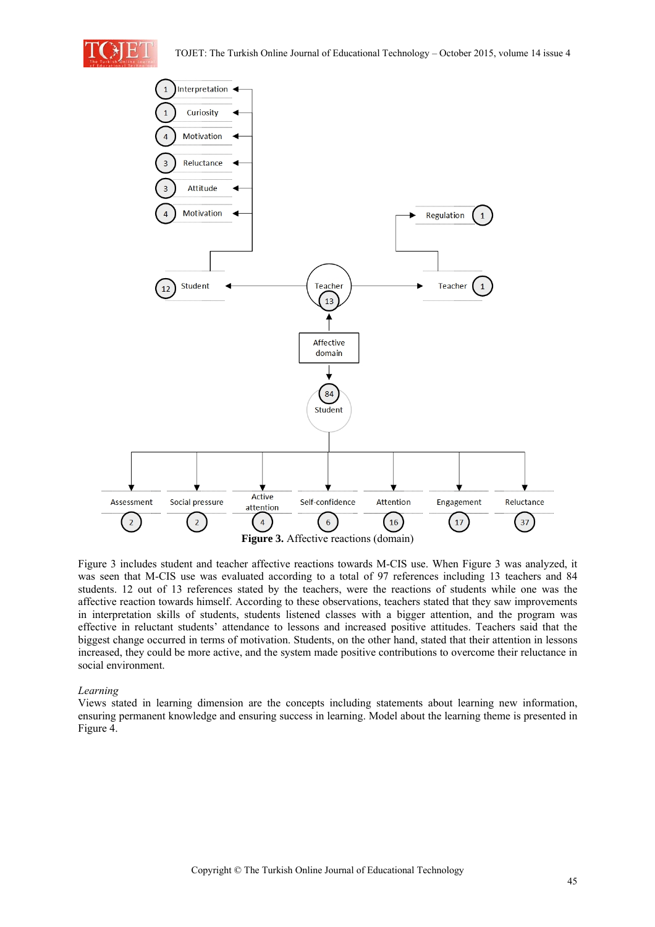



Figure 3 includes student and teacher affective reactions towards M-CIS use. When Figure 3 was analyzed, it was seen that M-CIS use was evaluated according to a total of 97 references including 13 teachers and 84 students. 12 out of 13 references stated by the teachers, were the reactions of students while one was the affective reaction towards himself. According to these observations, teachers stated that they saw improvements in interpretation skills of students, students listened classes with a bigger attention, and the program was effective in reluctant students' attendance to lessons and increased positive attitudes. Teachers said that the biggest change occurred in terms of motivation. Students, on the other hand, stated that their attention in lessons increased, they could be more active, and the system made positive contributions to overcome their reluctance in social environment.

# *Learning*

Views stated in learning dimension are the concepts including statements about learning new information, ensuring permanent knowledge and ensuring success in learning. Model about the learning theme is presented in Figure 4.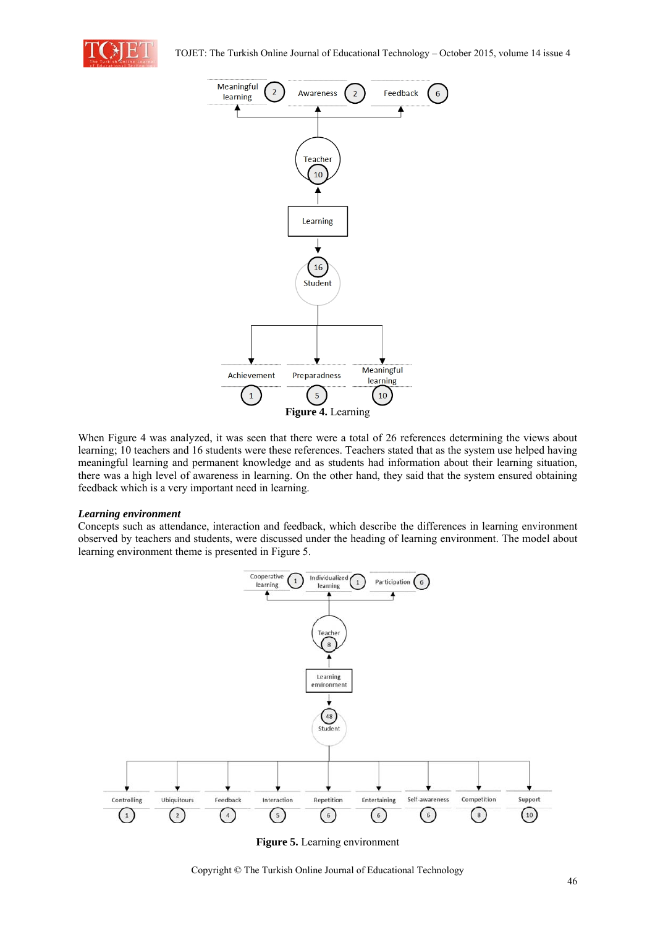



When Figure 4 was analyzed, it was seen that there were a total of 26 references determining the views about learning; 10 teachers and 16 students were these references. Teachers stated that as the system use helped having meaningful learning and permanent knowledge and as students had information about their learning situation, there was a high level of awareness in learning. On the other hand, they said that the system ensured obtaining feedback which is a very important need in learning.

#### *Learning environment*

Concepts such as attendance, interaction and feedback, which describe the differences in learning environment observed by teachers and students, were discussed under the heading of learning environment. The model about learning environment theme is presented in Figure 5.



**Figure 5.** Learning environment

Copyright © The Turkish Online Journal of Educational Technology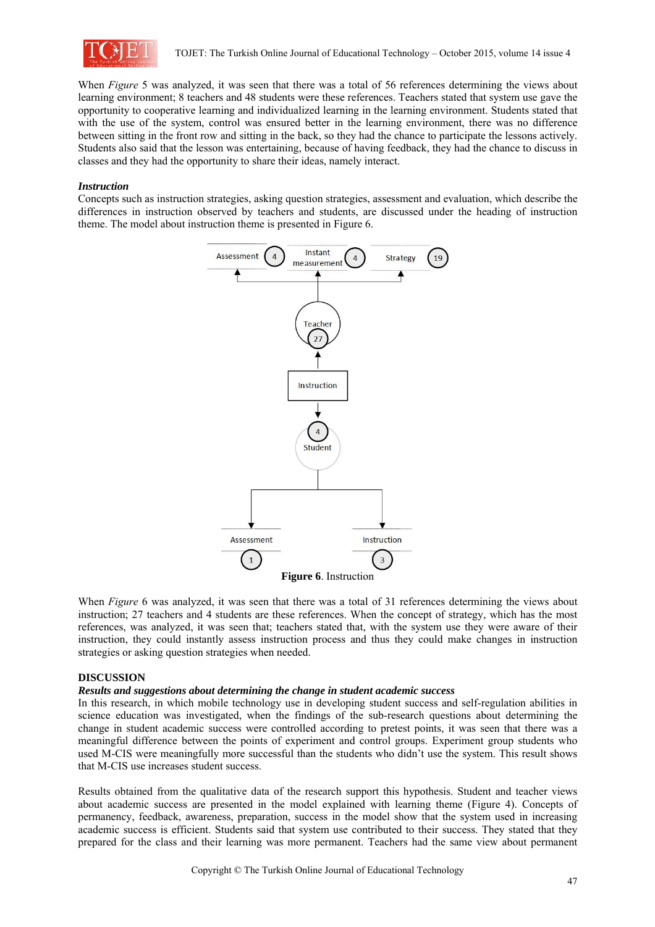

When *Figure* 5 was analyzed, it was seen that there was a total of 56 references determining the views about learning environment; 8 teachers and 48 students were these references. Teachers stated that system use gave the opportunity to cooperative learning and individualized learning in the learning environment. Students stated that with the use of the system, control was ensured better in the learning environment, there was no difference between sitting in the front row and sitting in the back, so they had the chance to participate the lessons actively. Students also said that the lesson was entertaining, because of having feedback, they had the chance to discuss in classes and they had the opportunity to share their ideas, namely interact.

#### *Instruction*

Concepts such as instruction strategies, asking question strategies, assessment and evaluation, which describe the differences in instruction observed by teachers and students, are discussed under the heading of instruction theme. The model about instruction theme is presented in Figure 6.



When *Figure* 6 was analyzed, it was seen that there was a total of 31 references determining the views about instruction; 27 teachers and 4 students are these references. When the concept of strategy, which has the most references, was analyzed, it was seen that; teachers stated that, with the system use they were aware of their instruction, they could instantly assess instruction process and thus they could make changes in instruction strategies or asking question strategies when needed.

#### **DISCUSSION**

#### *Results and suggestions about determining the change in student academic success*

In this research, in which mobile technology use in developing student success and self-regulation abilities in science education was investigated, when the findings of the sub-research questions about determining the change in student academic success were controlled according to pretest points, it was seen that there was a meaningful difference between the points of experiment and control groups. Experiment group students who used M-CIS were meaningfully more successful than the students who didn't use the system. This result shows that M-CIS use increases student success.

Results obtained from the qualitative data of the research support this hypothesis. Student and teacher views about academic success are presented in the model explained with learning theme (Figure 4). Concepts of permanency, feedback, awareness, preparation, success in the model show that the system used in increasing academic success is efficient. Students said that system use contributed to their success. They stated that they prepared for the class and their learning was more permanent. Teachers had the same view about permanent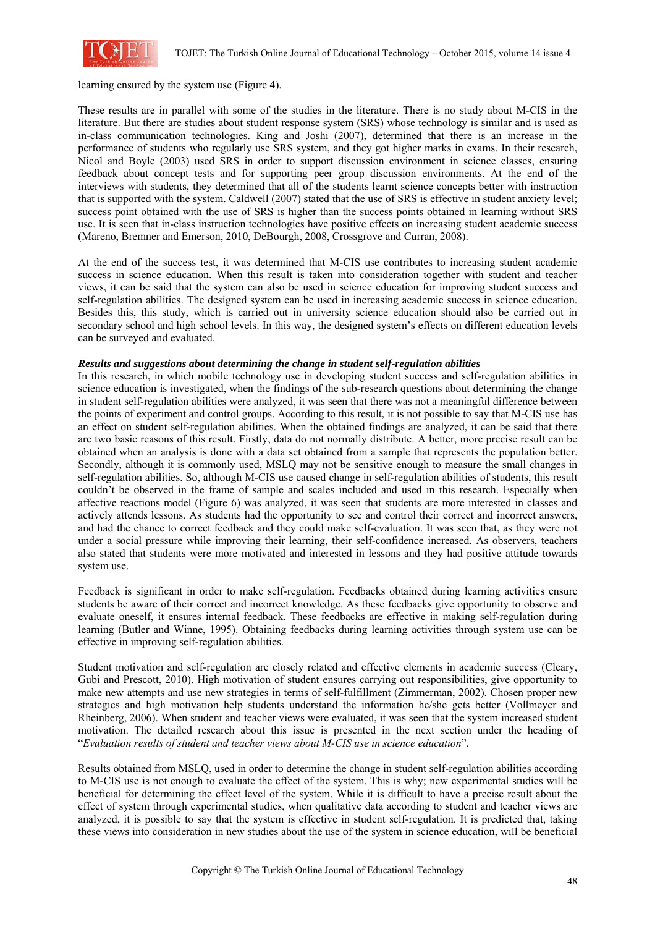

learning ensured by the system use (Figure 4).

These results are in parallel with some of the studies in the literature. There is no study about M-CIS in the literature. But there are studies about student response system (SRS) whose technology is similar and is used as in-class communication technologies. King and Joshi (2007), determined that there is an increase in the performance of students who regularly use SRS system, and they got higher marks in exams. In their research, Nicol and Boyle (2003) used SRS in order to support discussion environment in science classes, ensuring feedback about concept tests and for supporting peer group discussion environments. At the end of the interviews with students, they determined that all of the students learnt science concepts better with instruction that is supported with the system. Caldwell (2007) stated that the use of SRS is effective in student anxiety level; success point obtained with the use of SRS is higher than the success points obtained in learning without SRS use. It is seen that in-class instruction technologies have positive effects on increasing student academic success (Mareno, Bremner and Emerson, 2010, DeBourgh, 2008, Crossgrove and Curran, 2008).

At the end of the success test, it was determined that M-CIS use contributes to increasing student academic success in science education. When this result is taken into consideration together with student and teacher views, it can be said that the system can also be used in science education for improving student success and self-regulation abilities. The designed system can be used in increasing academic success in science education. Besides this, this study, which is carried out in university science education should also be carried out in secondary school and high school levels. In this way, the designed system's effects on different education levels can be surveyed and evaluated.

## *Results and suggestions about determining the change in student self-regulation abilities*

In this research, in which mobile technology use in developing student success and self-regulation abilities in science education is investigated, when the findings of the sub-research questions about determining the change in student self-regulation abilities were analyzed, it was seen that there was not a meaningful difference between the points of experiment and control groups. According to this result, it is not possible to say that M-CIS use has an effect on student self-regulation abilities. When the obtained findings are analyzed, it can be said that there are two basic reasons of this result. Firstly, data do not normally distribute. A better, more precise result can be obtained when an analysis is done with a data set obtained from a sample that represents the population better. Secondly, although it is commonly used, MSLQ may not be sensitive enough to measure the small changes in self-regulation abilities. So, although M-CIS use caused change in self-regulation abilities of students, this result couldn't be observed in the frame of sample and scales included and used in this research. Especially when affective reactions model (Figure 6) was analyzed, it was seen that students are more interested in classes and actively attends lessons. As students had the opportunity to see and control their correct and incorrect answers, and had the chance to correct feedback and they could make self-evaluation. It was seen that, as they were not under a social pressure while improving their learning, their self-confidence increased. As observers, teachers also stated that students were more motivated and interested in lessons and they had positive attitude towards system use.

Feedback is significant in order to make self-regulation. Feedbacks obtained during learning activities ensure students be aware of their correct and incorrect knowledge. As these feedbacks give opportunity to observe and evaluate oneself, it ensures internal feedback. These feedbacks are effective in making self-regulation during learning (Butler and Winne, 1995). Obtaining feedbacks during learning activities through system use can be effective in improving self-regulation abilities.

Student motivation and self-regulation are closely related and effective elements in academic success (Cleary, Gubi and Prescott, 2010). High motivation of student ensures carrying out responsibilities, give opportunity to make new attempts and use new strategies in terms of self-fulfillment (Zimmerman, 2002). Chosen proper new strategies and high motivation help students understand the information he/she gets better (Vollmeyer and Rheinberg, 2006). When student and teacher views were evaluated, it was seen that the system increased student motivation. The detailed research about this issue is presented in the next section under the heading of "*Evaluation results of student and teacher views about M-CIS use in science education*".

Results obtained from MSLQ, used in order to determine the change in student self-regulation abilities according to M-CIS use is not enough to evaluate the effect of the system. This is why; new experimental studies will be beneficial for determining the effect level of the system. While it is difficult to have a precise result about the effect of system through experimental studies, when qualitative data according to student and teacher views are analyzed, it is possible to say that the system is effective in student self-regulation. It is predicted that, taking these views into consideration in new studies about the use of the system in science education, will be beneficial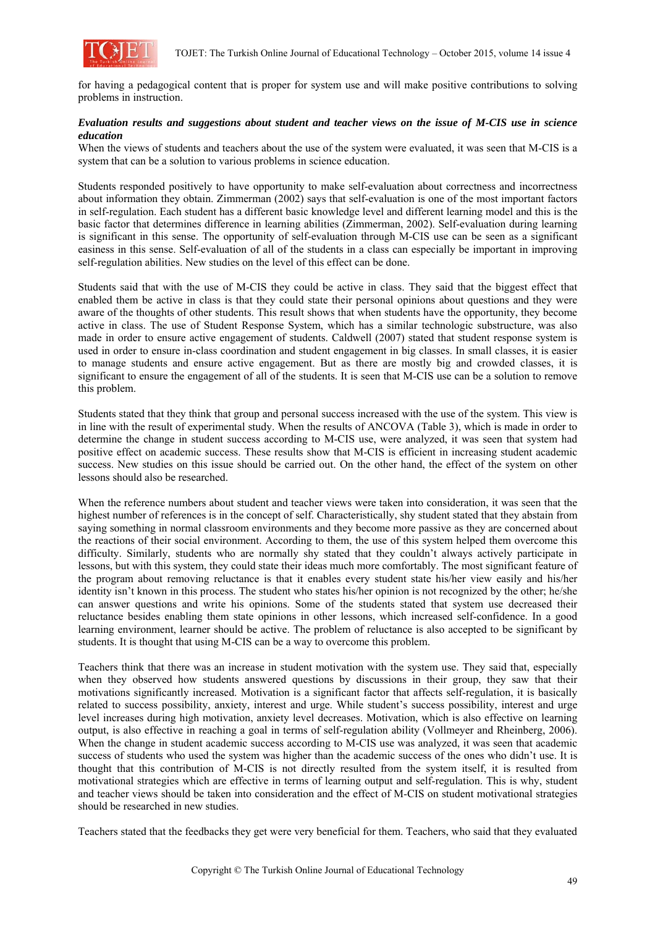

for having a pedagogical content that is proper for system use and will make positive contributions to solving problems in instruction.

# *Evaluation results and suggestions about student and teacher views on the issue of M-CIS use in science education*

When the views of students and teachers about the use of the system were evaluated, it was seen that M-CIS is a system that can be a solution to various problems in science education.

Students responded positively to have opportunity to make self-evaluation about correctness and incorrectness about information they obtain. Zimmerman (2002) says that self-evaluation is one of the most important factors in self-regulation. Each student has a different basic knowledge level and different learning model and this is the basic factor that determines difference in learning abilities (Zimmerman, 2002). Self-evaluation during learning is significant in this sense. The opportunity of self-evaluation through M-CIS use can be seen as a significant easiness in this sense. Self-evaluation of all of the students in a class can especially be important in improving self-regulation abilities. New studies on the level of this effect can be done.

Students said that with the use of M-CIS they could be active in class. They said that the biggest effect that enabled them be active in class is that they could state their personal opinions about questions and they were aware of the thoughts of other students. This result shows that when students have the opportunity, they become active in class. The use of Student Response System, which has a similar technologic substructure, was also made in order to ensure active engagement of students. Caldwell (2007) stated that student response system is used in order to ensure in-class coordination and student engagement in big classes. In small classes, it is easier to manage students and ensure active engagement. But as there are mostly big and crowded classes, it is significant to ensure the engagement of all of the students. It is seen that M-CIS use can be a solution to remove this problem.

Students stated that they think that group and personal success increased with the use of the system. This view is in line with the result of experimental study. When the results of ANCOVA (Table 3), which is made in order to determine the change in student success according to M-CIS use, were analyzed, it was seen that system had positive effect on academic success. These results show that M-CIS is efficient in increasing student academic success. New studies on this issue should be carried out. On the other hand, the effect of the system on other lessons should also be researched.

When the reference numbers about student and teacher views were taken into consideration, it was seen that the highest number of references is in the concept of self. Characteristically, shy student stated that they abstain from saying something in normal classroom environments and they become more passive as they are concerned about the reactions of their social environment. According to them, the use of this system helped them overcome this difficulty. Similarly, students who are normally shy stated that they couldn't always actively participate in lessons, but with this system, they could state their ideas much more comfortably. The most significant feature of the program about removing reluctance is that it enables every student state his/her view easily and his/her identity isn't known in this process. The student who states his/her opinion is not recognized by the other; he/she can answer questions and write his opinions. Some of the students stated that system use decreased their reluctance besides enabling them state opinions in other lessons, which increased self-confidence. In a good learning environment, learner should be active. The problem of reluctance is also accepted to be significant by students. It is thought that using M-CIS can be a way to overcome this problem.

Teachers think that there was an increase in student motivation with the system use. They said that, especially when they observed how students answered questions by discussions in their group, they saw that their motivations significantly increased. Motivation is a significant factor that affects self-regulation, it is basically related to success possibility, anxiety, interest and urge. While student's success possibility, interest and urge level increases during high motivation, anxiety level decreases. Motivation, which is also effective on learning output, is also effective in reaching a goal in terms of self-regulation ability (Vollmeyer and Rheinberg, 2006). When the change in student academic success according to M-CIS use was analyzed, it was seen that academic success of students who used the system was higher than the academic success of the ones who didn't use. It is thought that this contribution of M-CIS is not directly resulted from the system itself, it is resulted from motivational strategies which are effective in terms of learning output and self-regulation. This is why, student and teacher views should be taken into consideration and the effect of M-CIS on student motivational strategies should be researched in new studies.

Teachers stated that the feedbacks they get were very beneficial for them. Teachers, who said that they evaluated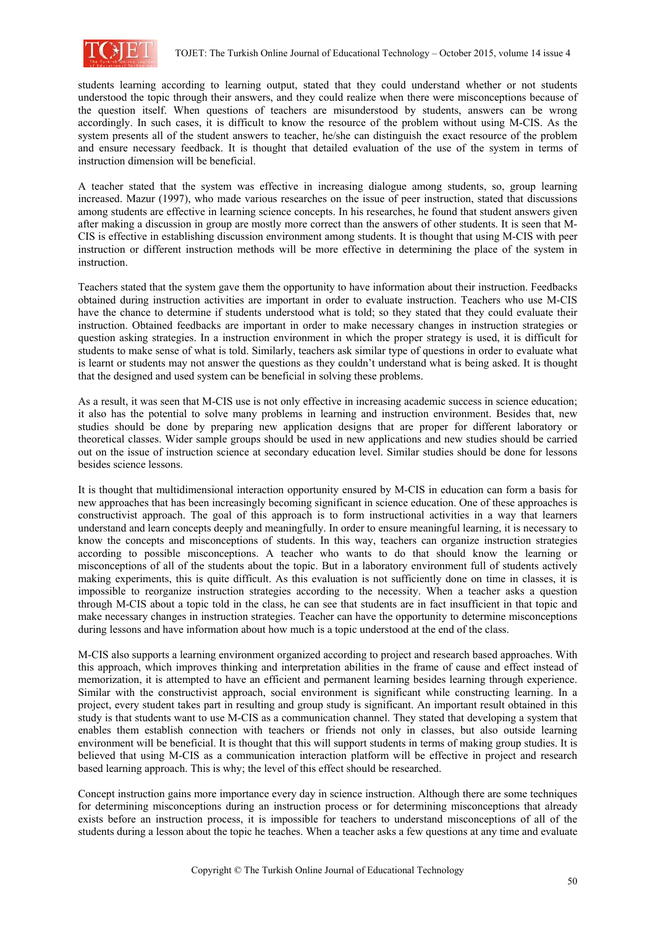

students learning according to learning output, stated that they could understand whether or not students understood the topic through their answers, and they could realize when there were misconceptions because of the question itself. When questions of teachers are misunderstood by students, answers can be wrong accordingly. In such cases, it is difficult to know the resource of the problem without using M-CIS. As the system presents all of the student answers to teacher, he/she can distinguish the exact resource of the problem and ensure necessary feedback. It is thought that detailed evaluation of the use of the system in terms of instruction dimension will be beneficial.

A teacher stated that the system was effective in increasing dialogue among students, so, group learning increased. Mazur (1997), who made various researches on the issue of peer instruction, stated that discussions among students are effective in learning science concepts. In his researches, he found that student answers given after making a discussion in group are mostly more correct than the answers of other students. It is seen that M-CIS is effective in establishing discussion environment among students. It is thought that using M-CIS with peer instruction or different instruction methods will be more effective in determining the place of the system in instruction.

Teachers stated that the system gave them the opportunity to have information about their instruction. Feedbacks obtained during instruction activities are important in order to evaluate instruction. Teachers who use M-CIS have the chance to determine if students understood what is told; so they stated that they could evaluate their instruction. Obtained feedbacks are important in order to make necessary changes in instruction strategies or question asking strategies. In a instruction environment in which the proper strategy is used, it is difficult for students to make sense of what is told. Similarly, teachers ask similar type of questions in order to evaluate what is learnt or students may not answer the questions as they couldn't understand what is being asked. It is thought that the designed and used system can be beneficial in solving these problems.

As a result, it was seen that M-CIS use is not only effective in increasing academic success in science education; it also has the potential to solve many problems in learning and instruction environment. Besides that, new studies should be done by preparing new application designs that are proper for different laboratory or theoretical classes. Wider sample groups should be used in new applications and new studies should be carried out on the issue of instruction science at secondary education level. Similar studies should be done for lessons besides science lessons.

It is thought that multidimensional interaction opportunity ensured by M-CIS in education can form a basis for new approaches that has been increasingly becoming significant in science education. One of these approaches is constructivist approach. The goal of this approach is to form instructional activities in a way that learners understand and learn concepts deeply and meaningfully. In order to ensure meaningful learning, it is necessary to know the concepts and misconceptions of students. In this way, teachers can organize instruction strategies according to possible misconceptions. A teacher who wants to do that should know the learning or misconceptions of all of the students about the topic. But in a laboratory environment full of students actively making experiments, this is quite difficult. As this evaluation is not sufficiently done on time in classes, it is impossible to reorganize instruction strategies according to the necessity. When a teacher asks a question through M-CIS about a topic told in the class, he can see that students are in fact insufficient in that topic and make necessary changes in instruction strategies. Teacher can have the opportunity to determine misconceptions during lessons and have information about how much is a topic understood at the end of the class.

M-CIS also supports a learning environment organized according to project and research based approaches. With this approach, which improves thinking and interpretation abilities in the frame of cause and effect instead of memorization, it is attempted to have an efficient and permanent learning besides learning through experience. Similar with the constructivist approach, social environment is significant while constructing learning. In a project, every student takes part in resulting and group study is significant. An important result obtained in this study is that students want to use M-CIS as a communication channel. They stated that developing a system that enables them establish connection with teachers or friends not only in classes, but also outside learning environment will be beneficial. It is thought that this will support students in terms of making group studies. It is believed that using M-CIS as a communication interaction platform will be effective in project and research based learning approach. This is why; the level of this effect should be researched.

Concept instruction gains more importance every day in science instruction. Although there are some techniques for determining misconceptions during an instruction process or for determining misconceptions that already exists before an instruction process, it is impossible for teachers to understand misconceptions of all of the students during a lesson about the topic he teaches. When a teacher asks a few questions at any time and evaluate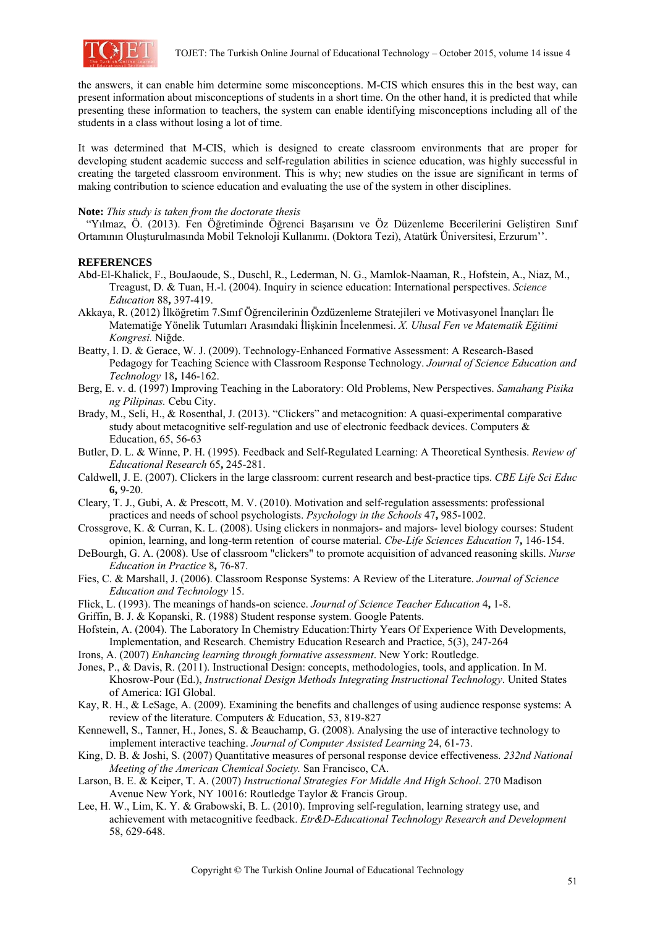

the answers, it can enable him determine some misconceptions. M-CIS which ensures this in the best way, can present information about misconceptions of students in a short time. On the other hand, it is predicted that while presenting these information to teachers, the system can enable identifying misconceptions including all of the students in a class without losing a lot of time.

It was determined that M-CIS, which is designed to create classroom environments that are proper for developing student academic success and self-regulation abilities in science education, was highly successful in creating the targeted classroom environment. This is why; new studies on the issue are significant in terms of making contribution to science education and evaluating the use of the system in other disciplines.

#### **Note:** *This study is taken from the doctorate thesis*

 "Yılmaz, Ö. (2013). Fen Öğretiminde Öğrenci Başarısını ve Öz Düzenleme Becerilerini Geliştiren Sınıf Ortamının Oluşturulmasında Mobil Teknoloji Kullanımı. (Doktora Tezi), Atatürk Üniversitesi, Erzurum''.

## **REFERENCES**

- Abd-El-Khalick, F., BouJaoude, S., Duschl, R., Lederman, N. G., Mamlok-Naaman, R., Hofstein, A., Niaz, M., Treagust, D. & Tuan, H.-l. (2004). Inquiry in science education: International perspectives. *Science Education* 88**,** 397-419.
- Akkaya, R. (2012) İlköğretim 7.Sınıf Öğrencilerinin Özdüzenleme Stratejileri ve Motivasyonel İnançları İle Matematiğe Yönelik Tutumları Arasındaki İlişkinin İncelenmesi. *X. Ulusal Fen ve Matematik Eğitimi Kongresi.* Niğde.
- Beatty, I. D. & Gerace, W. J. (2009). Technology-Enhanced Formative Assessment: A Research-Based Pedagogy for Teaching Science with Classroom Response Technology. *Journal of Science Education and Technology* 18**,** 146-162.
- Berg, E. v. d. (1997) Improving Teaching in the Laboratory: Old Problems, New Perspectives. *Samahang Pisika ng Pilipinas.* Cebu City.
- Brady, M., Seli, H., & Rosenthal, J. (2013). "Clickers" and metacognition: A quasi-experimental comparative study about metacognitive self-regulation and use of electronic feedback devices. Computers  $\&$ Education, 65, 56-63
- Butler, D. L. & Winne, P. H. (1995). Feedback and Self-Regulated Learning: A Theoretical Synthesis. *Review of Educational Research* 65**,** 245-281.
- Caldwell, J. E. (2007). Clickers in the large classroom: current research and best-practice tips. *CBE Life Sci Educ* **6,** 9-20.
- Cleary, T. J., Gubi, A. & Prescott, M. V. (2010). Motivation and self-regulation assessments: professional practices and needs of school psychologists. *Psychology in the Schools* 47**,** 985-1002.
- Crossgrove, K. & Curran, K. L. (2008). Using clickers in nonmajors- and majors- level biology courses: Student opinion, learning, and long-term retention of course material. *Cbe-Life Sciences Education* 7**,** 146-154.
- DeBourgh, G. A. (2008). Use of classroom "clickers" to promote acquisition of advanced reasoning skills. *Nurse Education in Practice* 8**,** 76-87.
- Fies, C. & Marshall, J. (2006). Classroom Response Systems: A Review of the Literature. *Journal of Science Education and Technology* 15.
- Flick, L. (1993). The meanings of hands-on science. *Journal of Science Teacher Education* 4**,** 1-8.
- Griffin, B. J. & Kopanski, R. (1988) Student response system. Google Patents.
- Hofstein, A. (2004). The Laboratory In Chemistry Education:Thirty Years Of Experience With Developments, Implementation, and Research. Chemistry Education Research and Practice, 5(3), 247-264
- Irons, A. (2007) *Enhancing learning through formative assessment*. New York: Routledge.
- Jones, P., & Davis, R. (2011). Instructional Design: concepts, methodologies, tools, and application. In M. Khosrow-Pour (Ed.), *Instructional Design Methods Integrating Instructional Technology*. United States of America: IGI Global.
- Kay, R. H., & LeSage, A. (2009). Examining the benefits and challenges of using audience response systems: A review of the literature. Computers & Education, 53, 819-827
- Kennewell, S., Tanner, H., Jones, S. & Beauchamp, G. (2008). Analysing the use of interactive technology to implement interactive teaching. *Journal of Computer Assisted Learning* 24, 61-73.
- King, D. B. & Joshi, S. (2007) Quantitative measures of personal response device effectiveness. *232nd National Meeting of the American Chemical Society.* San Francisco, CA.
- Larson, B. E. & Keiper, T. A. (2007) *Instructional Strategies For Middle And High School*. 270 Madison Avenue New York, NY 10016: Routledge Taylor & Francis Group.
- Lee, H. W., Lim, K. Y. & Grabowski, B. L. (2010). Improving self-regulation, learning strategy use, and achievement with metacognitive feedback. *Etr&D-Educational Technology Research and Development* 58, 629-648.